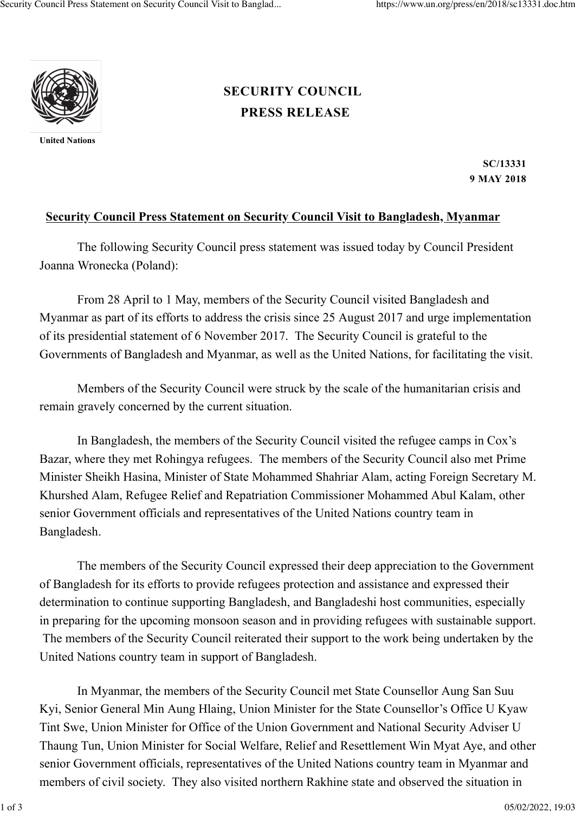

**United Nations**

## **[PRESS RELEASE](https://www.un.org/press/en/press-release) [SECURITY COUNCIL](https://www.un.org/press/en/security-council)**

**SC/13331 9 MAY 2018**

## **Security Council Press Statement on Security Council Visit to Bangladesh, Myanmar**

The following Security Council press statement was issued today by Council President Joanna Wronecka (Poland):

From 28 April to 1 May, members of the Security Council visited Bangladesh and Myanmar as part of its efforts to address the crisis since 25 August 2017 and urge implementation of its presidential statement of 6 November 2017. The Security Council is grateful to the Governments of Bangladesh and Myanmar, as well as the United Nations, for facilitating the visit.

Members of the Security Council were struck by the scale of the humanitarian crisis and remain gravely concerned by the current situation.

In Bangladesh, the members of the Security Council visited the refugee camps in Cox's Bazar, where they met Rohingya refugees. The members of the Security Council also met Prime Minister Sheikh Hasina, Minister of State Mohammed Shahriar Alam, acting Foreign Secretary M. Khurshed Alam, Refugee Relief and Repatriation Commissioner Mohammed Abul Kalam, other senior Government officials and representatives of the United Nations country team in Bangladesh.

The members of the Security Council expressed their deep appreciation to the Government of Bangladesh for its efforts to provide refugees protection and assistance and expressed their determination to continue supporting Bangladesh, and Bangladeshi host communities, especially in preparing for the upcoming monsoon season and in providing refugees with sustainable support. The members of the Security Council reiterated their support to the work being undertaken by the United Nations country team in support of Bangladesh.

In Myanmar, the members of the Security Council met State Counsellor Aung San Suu Kyi, Senior General Min Aung Hlaing, Union Minister for the State Counsellor's Office U Kyaw Tint Swe, Union Minister for Office of the Union Government and National Security Adviser U Thaung Tun, Union Minister for Social Welfare, Relief and Resettlement Win Myat Aye, and other senior Government officials, representatives of the United Nations country team in Myanmar and members of civil society. They also visited northern Rakhine state and observed the situation in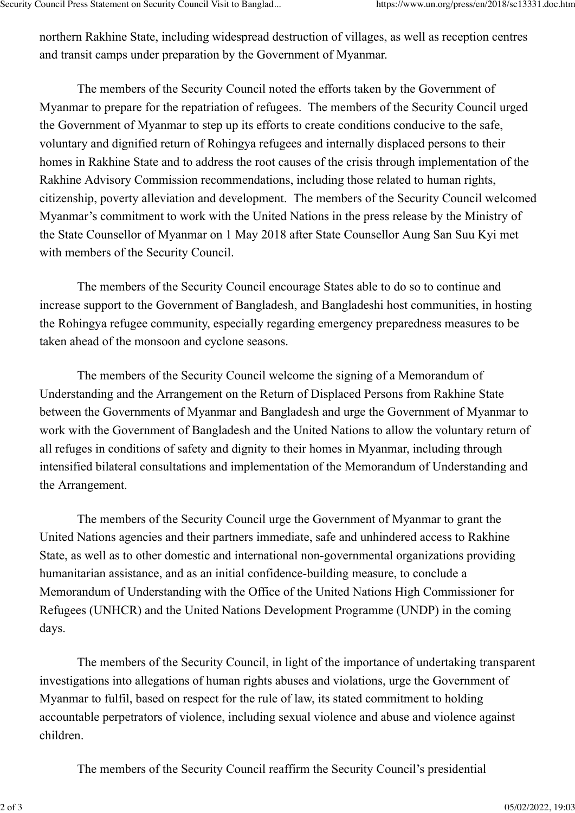northern Rakhine State, including widespread destruction of villages, as well as reception centres and transit camps under preparation by the Government of Myanmar.

The members of the Security Council noted the efforts taken by the Government of Myanmar to prepare for the repatriation of refugees. The members of the Security Council urged the Government of Myanmar to step up its efforts to create conditions conducive to the safe, voluntary and dignified return of Rohingya refugees and internally displaced persons to their homes in Rakhine State and to address the root causes of the crisis through implementation of the Rakhine Advisory Commission recommendations, including those related to human rights, citizenship, poverty alleviation and development. The members of the Security Council welcomed Myanmar's commitment to work with the United Nations in the press release by the Ministry of the State Counsellor of Myanmar on 1 May 2018 after State Counsellor Aung San Suu Kyi met with members of the Security Council.

The members of the Security Council encourage States able to do so to continue and increase support to the Government of Bangladesh, and Bangladeshi host communities, in hosting the Rohingya refugee community, especially regarding emergency preparedness measures to be taken ahead of the monsoon and cyclone seasons.

The members of the Security Council welcome the signing of a Memorandum of Understanding and the Arrangement on the Return of Displaced Persons from Rakhine State between the Governments of Myanmar and Bangladesh and urge the Government of Myanmar to work with the Government of Bangladesh and the United Nations to allow the voluntary return of all refuges in conditions of safety and dignity to their homes in Myanmar, including through intensified bilateral consultations and implementation of the Memorandum of Understanding and the Arrangement.

The members of the Security Council urge the Government of Myanmar to grant the United Nations agencies and their partners immediate, safe and unhindered access to Rakhine State, as well as to other domestic and international non-governmental organizations providing humanitarian assistance, and as an initial confidence-building measure, to conclude a Memorandum of Understanding with the Office of the United Nations High Commissioner for Refugees (UNHCR) and the United Nations Development Programme (UNDP) in the coming days.

The members of the Security Council, in light of the importance of undertaking transparent investigations into allegations of human rights abuses and violations, urge the Government of Myanmar to fulfil, based on respect for the rule of law, its stated commitment to holding accountable perpetrators of violence, including sexual violence and abuse and violence against children.

The members of the Security Council reaffirm the Security Council's presidential